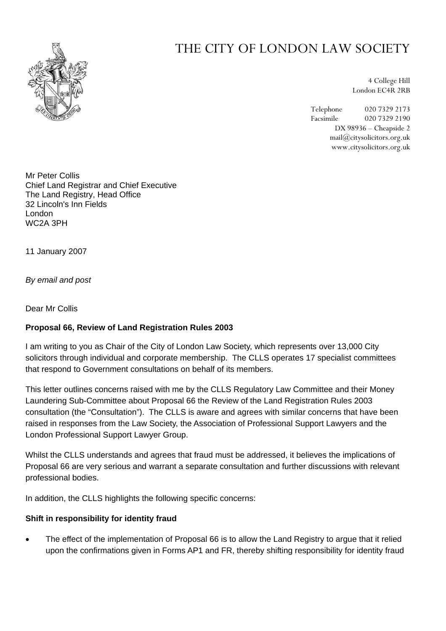

# THE CITY OF LONDON LAW SOCIETY

4 College Hill London EC4R 2RB

Telephone 020 7329 2173 Facsimile 020 7329 2190 DX 98936 – Cheapside 2 mail@citysolicitors.org.uk www.citysolicitors.org.uk

Mr Peter Collis Chief Land Registrar and Chief Executive The Land Registry, Head Office 32 Lincoln's Inn Fields London WC2A 3PH

11 January 2007

*By email and post* 

Dear Mr Collis

# **Proposal 66, Review of Land Registration Rules 2003**

I am writing to you as Chair of the City of London Law Society, which represents over 13,000 City solicitors through individual and corporate membership. The CLLS operates 17 specialist committees that respond to Government consultations on behalf of its members.

This letter outlines concerns raised with me by the CLLS Regulatory Law Committee and their Money Laundering Sub-Committee about Proposal 66 the Review of the Land Registration Rules 2003 consultation (the "Consultation"). The CLLS is aware and agrees with similar concerns that have been raised in responses from the Law Society, the Association of Professional Support Lawyers and the London Professional Support Lawyer Group.

Whilst the CLLS understands and agrees that fraud must be addressed, it believes the implications of Proposal 66 are very serious and warrant a separate consultation and further discussions with relevant professional bodies.

In addition, the CLLS highlights the following specific concerns:

#### **Shift in responsibility for identity fraud**

• The effect of the implementation of Proposal 66 is to allow the Land Registry to argue that it relied upon the confirmations given in Forms AP1 and FR, thereby shifting responsibility for identity fraud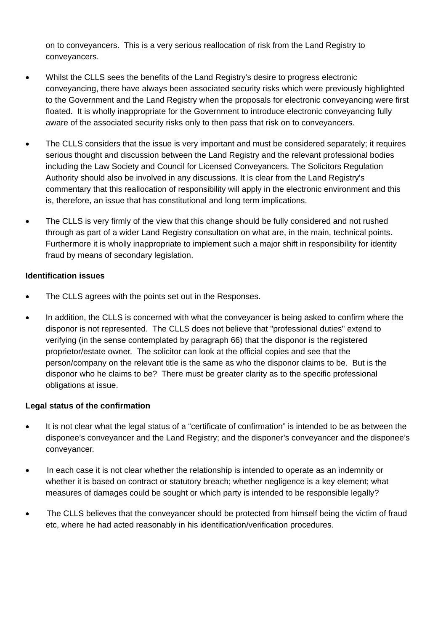on to conveyancers. This is a very serious reallocation of risk from the Land Registry to conveyancers.

- Whilst the CLLS sees the benefits of the Land Registry's desire to progress electronic conveyancing, there have always been associated security risks which were previously highlighted to the Government and the Land Registry when the proposals for electronic conveyancing were first floated. It is wholly inappropriate for the Government to introduce electronic conveyancing fully aware of the associated security risks only to then pass that risk on to conveyancers.
- The CLLS considers that the issue is very important and must be considered separately; it requires serious thought and discussion between the Land Registry and the relevant professional bodies including the Law Society and Council for Licensed Conveyancers. The Solicitors Regulation Authority should also be involved in any discussions. It is clear from the Land Registry's commentary that this reallocation of responsibility will apply in the electronic environment and this is, therefore, an issue that has constitutional and long term implications.
- The CLLS is very firmly of the view that this change should be fully considered and not rushed through as part of a wider Land Registry consultation on what are, in the main, technical points. Furthermore it is wholly inappropriate to implement such a major shift in responsibility for identity fraud by means of secondary legislation.

### **Identification issues**

- The CLLS agrees with the points set out in the Responses.
- In addition, the CLLS is concerned with what the conveyancer is being asked to confirm where the disponor is not represented. The CLLS does not believe that "professional duties" extend to verifying (in the sense contemplated by paragraph 66) that the disponor is the registered proprietor/estate owner. The solicitor can look at the official copies and see that the person/company on the relevant title is the same as who the disponor claims to be. But is the disponor who he claims to be? There must be greater clarity as to the specific professional obligations at issue.

# **Legal status of the confirmation**

- It is not clear what the legal status of a "certificate of confirmation" is intended to be as between the disponee's conveyancer and the Land Registry; and the disponer's conveyancer and the disponee's conveyancer.
- In each case it is not clear whether the relationship is intended to operate as an indemnity or whether it is based on contract or statutory breach; whether negligence is a key element; what measures of damages could be sought or which party is intended to be responsible legally?
- The CLLS believes that the convevancer should be protected from himself being the victim of fraud etc, where he had acted reasonably in his identification/verification procedures.